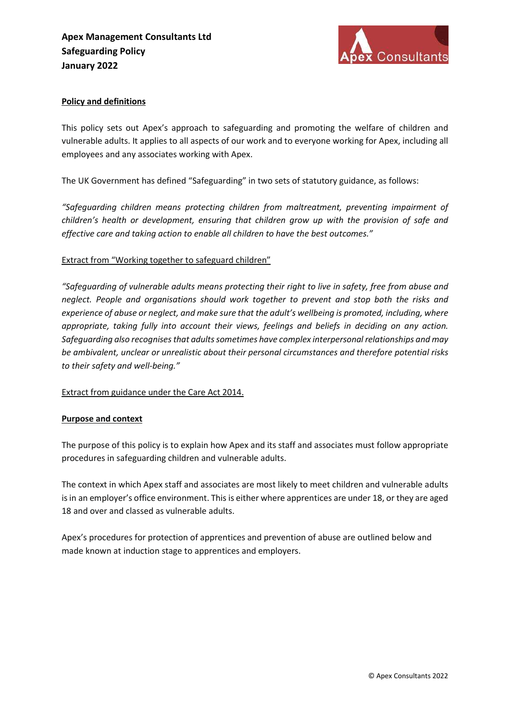

## Policy and definitions

This policy sets out Apex's approach to safeguarding and promoting the welfare of children and vulnerable adults. It applies to all aspects of our work and to everyone working for Apex, including all employees and any associates working with Apex.

The UK Government has defined "Safeguarding" in two sets of statutory guidance, as follows:

"Safeguarding children means protecting children from maltreatment, preventing impairment of children's health or development, ensuring that children grow up with the provision of safe and effective care and taking action to enable all children to have the best outcomes."

# Extract from "Working together to safeguard children"

"Safeguarding of vulnerable adults means protecting their right to live in safety, free from abuse and neglect. People and organisations should work together to prevent and stop both the risks and experience of abuse or neglect, and make sure that the adult's wellbeing is promoted, including, where appropriate, taking fully into account their views, feelings and beliefs in deciding on any action. Safeguarding also recognises that adults sometimes have complex interpersonal relationships and may be ambivalent, unclear or unrealistic about their personal circumstances and therefore potential risks to their safety and well-being."

#### Extract from guidance under the Care Act 2014.

#### Purpose and context

The purpose of this policy is to explain how Apex and its staff and associates must follow appropriate procedures in safeguarding children and vulnerable adults.

The context in which Apex staff and associates are most likely to meet children and vulnerable adults is in an employer's office environment. This is either where apprentices are under 18, or they are aged 18 and over and classed as vulnerable adults.

Apex's procedures for protection of apprentices and prevention of abuse are outlined below and made known at induction stage to apprentices and employers.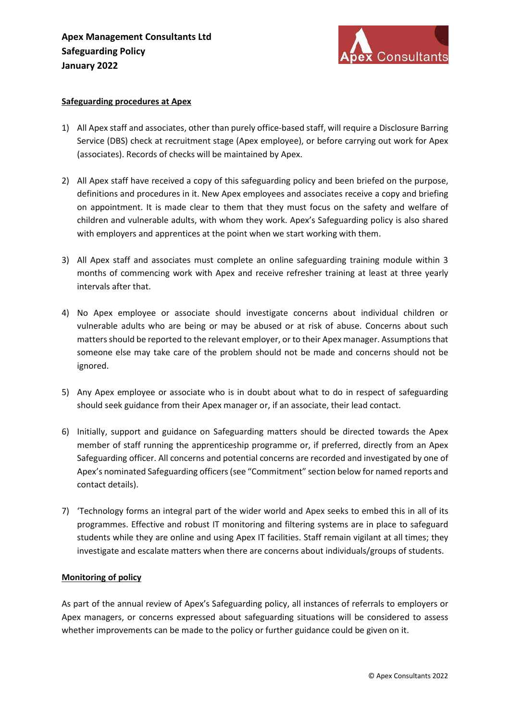

#### Safeguarding procedures at Apex

- 1) All Apex staff and associates, other than purely office-based staff, will require a Disclosure Barring Service (DBS) check at recruitment stage (Apex employee), or before carrying out work for Apex (associates). Records of checks will be maintained by Apex.
- 2) All Apex staff have received a copy of this safeguarding policy and been briefed on the purpose, definitions and procedures in it. New Apex employees and associates receive a copy and briefing on appointment. It is made clear to them that they must focus on the safety and welfare of children and vulnerable adults, with whom they work. Apex's Safeguarding policy is also shared with employers and apprentices at the point when we start working with them.
- 3) All Apex staff and associates must complete an online safeguarding training module within 3 months of commencing work with Apex and receive refresher training at least at three yearly intervals after that.
- 4) No Apex employee or associate should investigate concerns about individual children or vulnerable adults who are being or may be abused or at risk of abuse. Concerns about such matters should be reported to the relevant employer, or to their Apex manager. Assumptions that someone else may take care of the problem should not be made and concerns should not be ignored.
- 5) Any Apex employee or associate who is in doubt about what to do in respect of safeguarding should seek guidance from their Apex manager or, if an associate, their lead contact.
- 6) Initially, support and guidance on Safeguarding matters should be directed towards the Apex member of staff running the apprenticeship programme or, if preferred, directly from an Apex Safeguarding officer. All concerns and potential concerns are recorded and investigated by one of Apex's nominated Safeguarding officers (see "Commitment" section below for named reports and contact details).
- 7) 'Technology forms an integral part of the wider world and Apex seeks to embed this in all of its programmes. Effective and robust IT monitoring and filtering systems are in place to safeguard students while they are online and using Apex IT facilities. Staff remain vigilant at all times; they investigate and escalate matters when there are concerns about individuals/groups of students.

#### Monitoring of policy

As part of the annual review of Apex's Safeguarding policy, all instances of referrals to employers or Apex managers, or concerns expressed about safeguarding situations will be considered to assess whether improvements can be made to the policy or further guidance could be given on it.